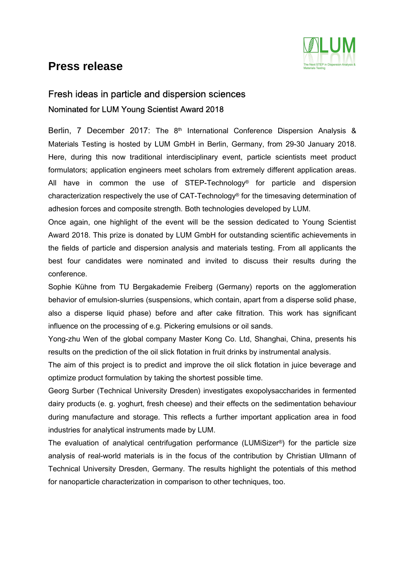## **Press release**



## Fresh ideas in particle and dispersion sciences Nominated for LUM Young Scientist Award 2018

Berlin, 7 December 2017: The 8<sup>th</sup> International Conference Dispersion Analysis & Materials Testing is hosted by LUM GmbH in Berlin, Germany, from 29-30 January 2018. Here, during this now traditional interdisciplinary event, particle scientists meet product formulators; application engineers meet scholars from extremely different application areas. All have in common the use of STEP-Technology® for particle and dispersion characterization respectively the use of CAT-Technology® for the timesaving determination of adhesion forces and composite strength. Both technologies developed by LUM.

Once again, one highlight of the event will be the session dedicated to Young Scientist Award 2018. This prize is donated by LUM GmbH for outstanding scientific achievements in the fields of particle and dispersion analysis and materials testing. From all applicants the best four candidates were nominated and invited to discuss their results during the conference.

Sophie Kühne from TU Bergakademie Freiberg (Germany) reports on the agglomeration behavior of emulsion-slurries (suspensions, which contain, apart from a disperse solid phase, also a disperse liquid phase) before and after cake filtration. This work has significant influence on the processing of e.g. Pickering emulsions or oil sands.

Yong-zhu Wen of the global company Master Kong Co. Ltd, Shanghai, China, presents his results on the prediction of the oil slick flotation in fruit drinks by instrumental analysis.

The aim of this project is to predict and improve the oil slick flotation in juice beverage and optimize product formulation by taking the shortest possible time.

Georg Surber (Technical University Dresden) investigates exopolysaccharides in fermented dairy products (e. g. yoghurt, fresh cheese) and their effects on the sedimentation behaviour during manufacture and storage. This reflects a further important application area in food industries for analytical instruments made by LUM.

The evaluation of analytical centrifugation performance (LUMiSizer®) for the particle size analysis of real-world materials is in the focus of the contribution by Christian Ullmann of Technical University Dresden, Germany. The results highlight the potentials of this method for nanoparticle characterization in comparison to other techniques, too.